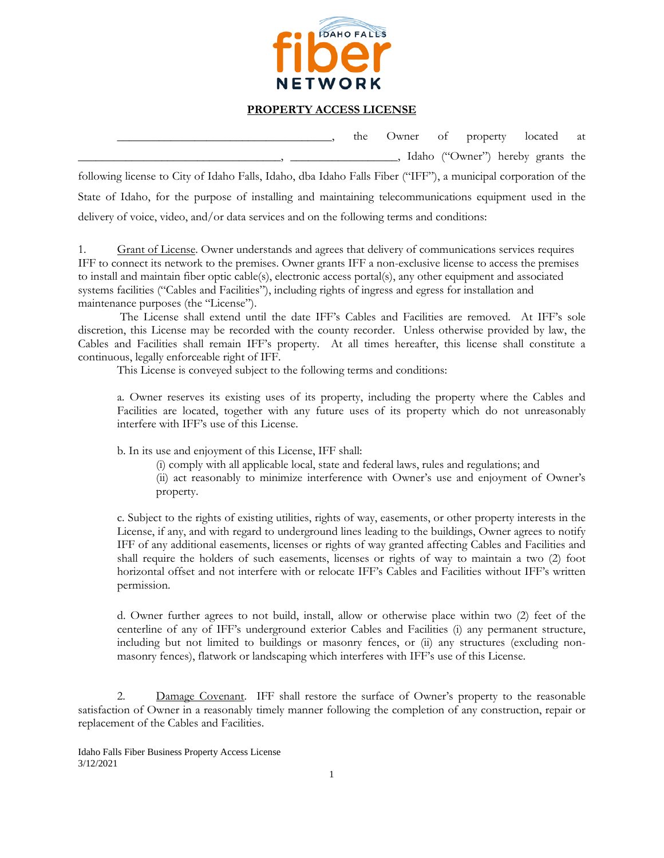

## **PROPERTY ACCESS LICENSE**

\_\_\_\_\_\_\_\_\_\_\_\_\_\_\_\_\_\_\_\_\_\_\_\_\_\_\_\_\_\_\_\_\_\_\_\_, the Owner of property located at \_\_\_\_\_\_\_\_\_\_\_\_\_\_\_\_\_\_\_\_\_\_\_\_\_\_\_\_\_\_\_\_\_\_, \_\_\_\_\_\_\_\_\_\_\_\_\_\_\_\_\_\_, Idaho ("Owner") hereby grants the following license to City of Idaho Falls, Idaho, dba Idaho Falls Fiber ("IFF"), a municipal corporation of the State of Idaho, for the purpose of installing and maintaining telecommunications equipment used in the delivery of voice, video, and/or data services and on the following terms and conditions:

1. Grant of License. Owner understands and agrees that delivery of communications services requires IFF to connect its network to the premises. Owner grants IFF a non-exclusive license to access the premises to install and maintain fiber optic cable(s), electronic access portal(s), any other equipment and associated systems facilities ("Cables and Facilities"), including rights of ingress and egress for installation and maintenance purposes (the "License").

The License shall extend until the date IFF's Cables and Facilities are removed. At IFF's sole discretion, this License may be recorded with the county recorder. Unless otherwise provided by law, the Cables and Facilities shall remain IFF's property. At all times hereafter, this license shall constitute a continuous, legally enforceable right of IFF.

This License is conveyed subject to the following terms and conditions:

a. Owner reserves its existing uses of its property, including the property where the Cables and Facilities are located, together with any future uses of its property which do not unreasonably interfere with IFF's use of this License.

b. In its use and enjoyment of this License, IFF shall:

(i) comply with all applicable local, state and federal laws, rules and regulations; and

(ii) act reasonably to minimize interference with Owner's use and enjoyment of Owner's property.

c. Subject to the rights of existing utilities, rights of way, easements, or other property interests in the License, if any, and with regard to underground lines leading to the buildings, Owner agrees to notify IFF of any additional easements, licenses or rights of way granted affecting Cables and Facilities and shall require the holders of such easements, licenses or rights of way to maintain a two (2) foot horizontal offset and not interfere with or relocate IFF's Cables and Facilities without IFF's written permission.

d. Owner further agrees to not build, install, allow or otherwise place within two (2) feet of the centerline of any of IFF's underground exterior Cables and Facilities (i) any permanent structure, including but not limited to buildings or masonry fences, or (ii) any structures (excluding nonmasonry fences), flatwork or landscaping which interferes with IFF's use of this License.

2. Damage Covenant. IFF shall restore the surface of Owner's property to the reasonable satisfaction of Owner in a reasonably timely manner following the completion of any construction, repair or replacement of the Cables and Facilities.

Idaho Falls Fiber Business Property Access License 3/12/2021